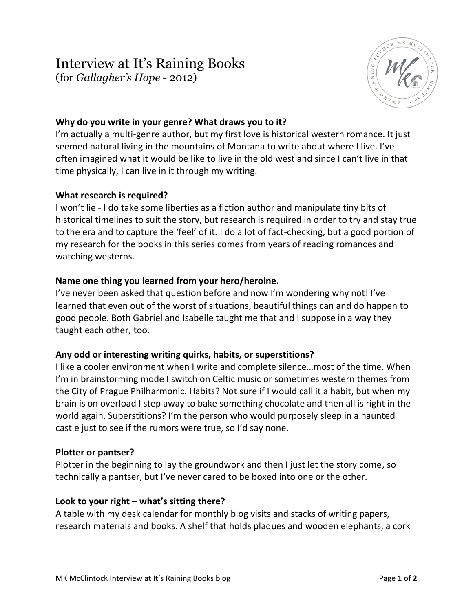# Interview at It's Raining Books (for *Gallagher's Hope* - 2012)

## **Why do you write in your genre? What draws you to it?**

I'm actually a multi-genre author, but my first love is historical western romance. It just seemed natural living in the mountains of Montana to write about where I live. I've often imagined what it would be like to live in the old west and since I can't live in that time physically, I can live in it through my writing.

### **What research is required?**

I won't lie - I do take some liberties as a fiction author and manipulate tiny bits of historical timelines to suit the story, but research is required in order to try and stay true to the era and to capture the 'feel' of it. I do a lot of fact-checking, but a good portion of my research for the books in this series comes from years of reading romances and watching westerns.

#### **Name one thing you learned from your hero/heroine.**

I've never been asked that question before and now I'm wondering why not! I've learned that even out of the worst of situations, beautiful things can and do happen to good people. Both Gabriel and Isabelle taught me that and I suppose in a way they taught each other, too.

### **Any odd or interesting writing quirks, habits, or superstitions?**

I like a cooler environment when I write and complete silence…most of the time. When I'm in brainstorming mode I switch on Celtic music or sometimes western themes from the City of Prague Philharmonic. Habits? Not sure if I would call it a habit, but when my brain is on overload I step away to bake something chocolate and then all is right in the world again. Superstitions? I'm the person who would purposely sleep in a haunted castle just to see if the rumors were true, so I'd say none.

#### **Plotter or pantser?**

Plotter in the beginning to lay the groundwork and then I just let the story come, so technically a pantser, but I've never cared to be boxed into one or the other.

#### **Look to your right – what's sitting there?**

A table with my desk calendar for monthly blog visits and stacks of writing papers, research materials and books. A shelf that holds plaques and wooden elephants, a cork